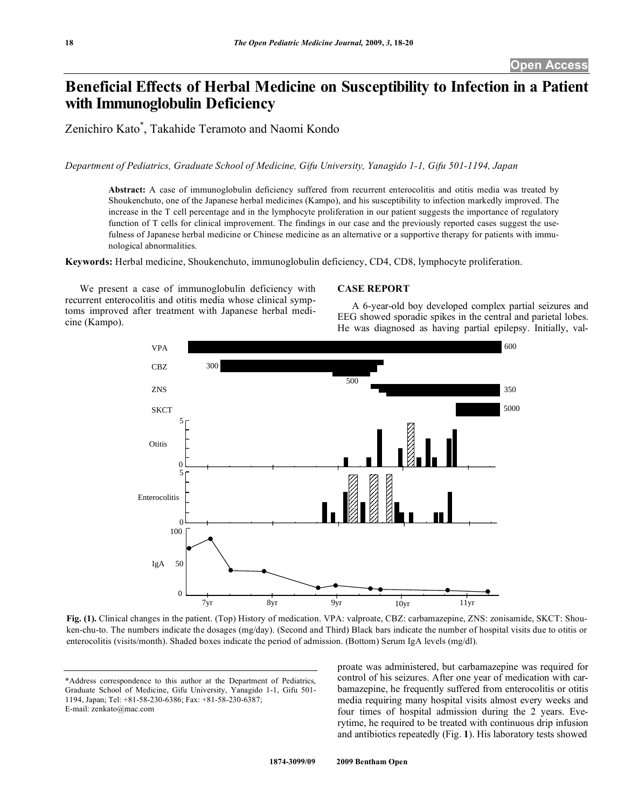# **Beneficial Effects of Herbal Medicine on Susceptibility to Infection in a Patient with Immunoglobulin Deficiency**

Zenichiro Kato\* , Takahide Teramoto and Naomi Kondo

*Department of Pediatrics, Graduate School of Medicine, Gifu University, Yanagido 1-1, Gifu 501-1194, Japan* 

**Abstract:** A case of immunoglobulin deficiency suffered from recurrent enterocolitis and otitis media was treated by Shoukenchuto, one of the Japanese herbal medicines (Kampo), and his susceptibility to infection markedly improved. The increase in the T cell percentage and in the lymphocyte proliferation in our patient suggests the importance of regulatory function of T cells for clinical improvement. The findings in our case and the previously reported cases suggest the usefulness of Japanese herbal medicine or Chinese medicine as an alternative or a supportive therapy for patients with immunological abnormalities.

**Keywords:** Herbal medicine, Shoukenchuto, immunoglobulin deficiency, CD4, CD8, lymphocyte proliferation.

 We present a case of immunoglobulin deficiency with recurrent enterocolitis and otitis media whose clinical symptoms improved after treatment with Japanese herbal medicine (Kampo).

## **CASE REPORT**

 A 6-year-old boy developed complex partial seizures and EEG showed sporadic spikes in the central and parietal lobes. He was diagnosed as having partial epilepsy. Initially, val-



**Fig. (1).** Clinical changes in the patient. (Top) History of medication. VPA: valproate, CBZ: carbamazepine, ZNS: zonisamide, SKCT: Shouken-chu-to. The numbers indicate the dosages (mg/day). (Second and Third) Black bars indicate the number of hospital visits due to otitis or enterocolitis (visits/month). Shaded boxes indicate the period of admission. (Bottom) Serum IgA levels (mg/dl).

\*Address correspondence to this author at the Department of Pediatrics, Graduate School of Medicine, Gifu University, Yanagido 1-1, Gifu 501- 1194, Japan; Tel: +81-58-230-6386; Fax: +81-58-230-6387; E-mail: zenkato@mac.com

proate was administered, but carbamazepine was required for control of his seizures. After one year of medication with carbamazepine, he frequently suffered from enterocolitis or otitis media requiring many hospital visits almost every weeks and four times of hospital admission during the 2 years. Everytime, he required to be treated with continuous drip infusion and antibiotics repeatedly (Fig. **1**). His laboratory tests showed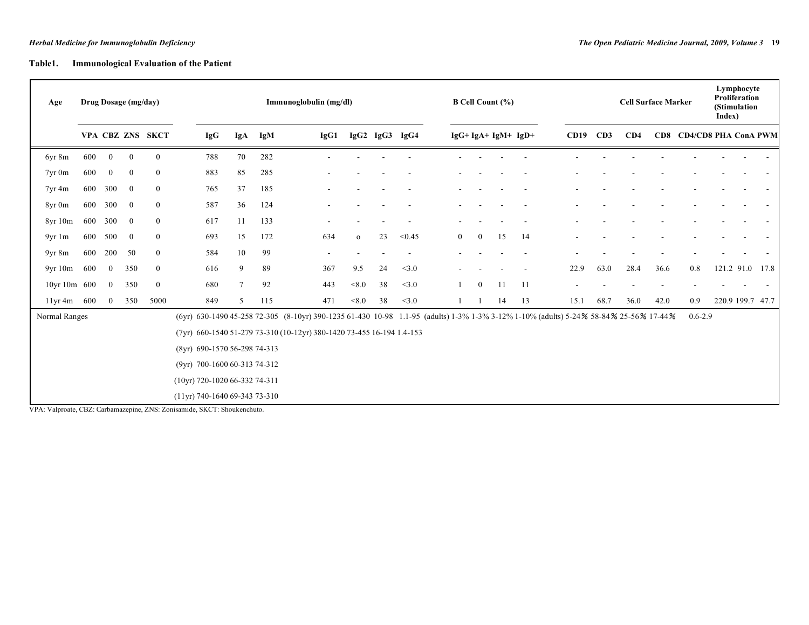# **Table1. Immunological Evaluation of the Patient**

| Age                    | Drug Dosage (mg/day) |                |                |                  | Immunoglobulin (mg/dl)                                                                                    |                 |     |                                                                                                                                       |              |    |                | <b>B Cell Count (%)</b> |                |    |                    |      | Lymphocyte<br><b>Proliferation</b><br><b>Cell Surface Marker</b><br>(Stimulation<br>Index) |      |      |                          |  |                  |  |
|------------------------|----------------------|----------------|----------------|------------------|-----------------------------------------------------------------------------------------------------------|-----------------|-----|---------------------------------------------------------------------------------------------------------------------------------------|--------------|----|----------------|-------------------------|----------------|----|--------------------|------|--------------------------------------------------------------------------------------------|------|------|--------------------------|--|------------------|--|
|                        |                      |                |                | VPA CBZ ZNS SKCT | <b>IgG</b>                                                                                                | IgA             | IgM | IgG1                                                                                                                                  |              |    | IgG2 IgG3 IgG4 |                         |                |    | $IgG+IgA+IgM+IgD+$ | CD19 | CD3                                                                                        | CD4  |      | CD8 CD4/CD8 PHA ConA PWM |  |                  |  |
| 6yr 8m                 | 600                  | $\overline{0}$ | $\mathbf{0}$   | $\theta$         | 788                                                                                                       | 70              | 282 |                                                                                                                                       |              |    |                |                         |                |    |                    |      |                                                                                            |      |      |                          |  |                  |  |
| $7yr$ 0 $m$            | 600                  | $\overline{0}$ | $\bf{0}$       | $\overline{0}$   | 883                                                                                                       | 85              | 285 |                                                                                                                                       |              |    |                |                         |                |    |                    |      |                                                                                            |      |      |                          |  |                  |  |
| 7yr 4m                 | 600                  | 300            | $\bf{0}$       | $\bf{0}$         | 765                                                                                                       | 37              | 185 |                                                                                                                                       |              |    |                |                         |                |    |                    |      |                                                                                            |      |      |                          |  |                  |  |
| 8yr 0m                 | 600 300              |                | $\overline{0}$ | $\overline{0}$   | 587                                                                                                       | 36              | 124 |                                                                                                                                       |              |    |                |                         |                |    |                    |      |                                                                                            |      |      |                          |  |                  |  |
| 8yr 10m                | 600                  | 300            | $\mathbf{0}$   | $\overline{0}$   | 617                                                                                                       | 11              | 133 |                                                                                                                                       |              |    |                |                         |                |    |                    |      |                                                                                            |      |      |                          |  |                  |  |
| 9yr1m                  |                      | 600 500        | $\overline{0}$ | $\theta$         | 693                                                                                                       | 15              | 172 | 634                                                                                                                                   | $\mathbf{O}$ | 23 | < 0.45         | $\overline{0}$          | $\overline{0}$ | 15 | -14                |      |                                                                                            |      |      |                          |  |                  |  |
| 9yr 8m                 | 600                  | 200            | 50             | $\overline{0}$   | 584                                                                                                       | 10              | 99  |                                                                                                                                       |              |    |                |                         |                |    |                    |      |                                                                                            |      |      |                          |  |                  |  |
| 9yr10m                 | 600                  | $\Omega$       | 350            | $\overline{0}$   | 616                                                                                                       | 9               | 89  | 367                                                                                                                                   | 9.5          | 24 | <3.0           |                         |                |    |                    | 22.9 | 63.0                                                                                       | 28.4 | 36.6 | 0.8                      |  | 121.2 91.0 17.8  |  |
| 10yr 10m 600           |                      | $\overline{0}$ | 350            | $\overline{0}$   | 680                                                                                                       | $7\phantom{.0}$ | 92  | 443                                                                                                                                   | < 8.0        | 38 | <3.0           |                         | $\mathbf{0}$   | 11 | -11                |      |                                                                                            |      |      |                          |  |                  |  |
| $11\,\text{yr}$ 4m 600 |                      | $\mathbf{0}$   | 350            | 5000             | 849                                                                                                       | 5               | 115 | 471                                                                                                                                   | < 8.0        | 38 | <3.0           |                         |                | 14 | 13                 | 15.1 | 68.7                                                                                       | 36.0 | 42.0 | 0.9                      |  | 220.9 199.7 47.7 |  |
| Normal Ranges          |                      |                |                |                  |                                                                                                           |                 |     | (6yr) 630-1490 45-258 72-305 (8-10yr) 390-1235 61-430 10-98 1.1-95 (adults) 1-3% 1-3% 3-12% 1-10% (adults) 5-24% 58-84% 25-56% 17-44% |              |    |                |                         |                |    |                    |      |                                                                                            |      |      | $0.6 - 2.9$              |  |                  |  |
|                        |                      |                |                |                  |                                                                                                           |                 |     | (7yr) 660-1540 51-279 73-310 (10-12yr) 380-1420 73-455 16-194 1.4-153                                                                 |              |    |                |                         |                |    |                    |      |                                                                                            |      |      |                          |  |                  |  |
|                        |                      |                |                |                  | (8yr) 690-1570 56-298 74-313                                                                              |                 |     |                                                                                                                                       |              |    |                |                         |                |    |                    |      |                                                                                            |      |      |                          |  |                  |  |
|                        |                      |                |                |                  | (9yr) 700-1600 60-313 74-312                                                                              |                 |     |                                                                                                                                       |              |    |                |                         |                |    |                    |      |                                                                                            |      |      |                          |  |                  |  |
|                        |                      |                |                |                  | (10yr) 720-1020 66-332 74-311                                                                             |                 |     |                                                                                                                                       |              |    |                |                         |                |    |                    |      |                                                                                            |      |      |                          |  |                  |  |
|                        |                      |                |                |                  | (11yr) 740-1640 69-343 73-310<br>VPA: Valproate, CBZ: Carbamazepine, ZNS: Zonisamide, SKCT: Shoukenchuto. |                 |     |                                                                                                                                       |              |    |                |                         |                |    |                    |      |                                                                                            |      |      |                          |  |                  |  |